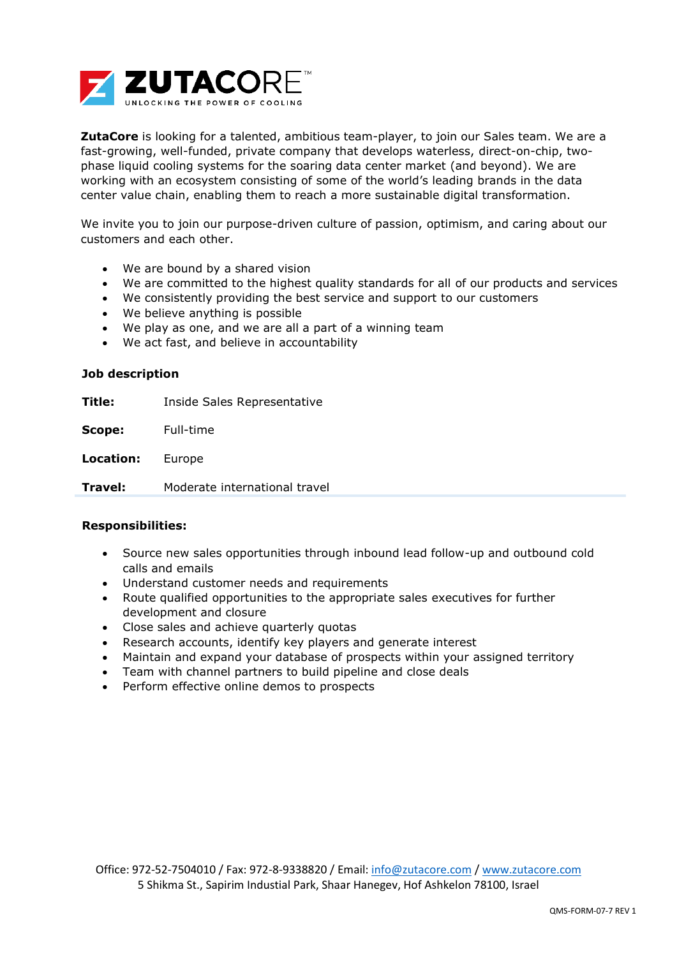

**ZutaCore** is looking for a talented, ambitious team-player, to join our Sales team. We are a fast-growing, well-funded, private company that develops waterless, direct-on-chip, twophase liquid cooling systems for the soaring data center market (and beyond). We are working with an ecosystem consisting of some of the world's leading brands in the data center value chain, enabling them to reach a more sustainable digital transformation.

We invite you to join our purpose-driven culture of passion, optimism, and caring about our customers and each other.

- We are bound by a shared vision
- We are committed to the highest quality standards for all of our products and services
- We consistently providing the best service and support to our customers
- We believe anything is possible
- We play as one, and we are all a part of a winning team
- We act fast, and believe in accountability

## **Job description**

**Title:** Inside Sales Representative

**Scope:** Full-time

**Location:** Europe

**Travel:** Moderate international travel

## **Responsibilities:**

- Source new sales opportunities through inbound lead follow-up and outbound cold calls and emails
- Understand customer needs and requirements
- Route qualified opportunities to the appropriate sales executives for further development and closure
- Close sales and achieve quarterly quotas
- Research accounts, identify key players and generate interest
- Maintain and expand your database of prospects within your [assigned territory](https://resources.workable.com/territory-manager-job-description)
- Team with channel partners to build pipeline and close deals
- Perform effective online demos to prospects